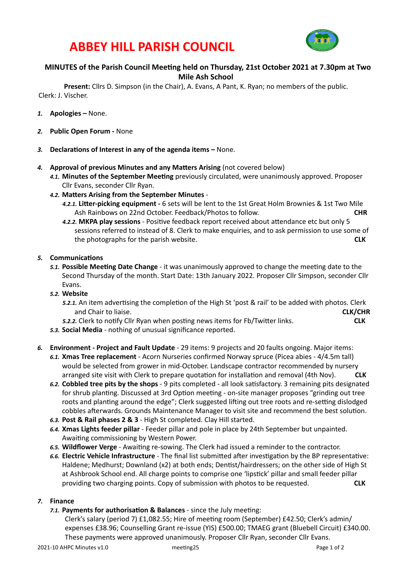# **ABBEY HILL PARISH COUNCIL**



# **MINUTES** of the Parish Council Meeting held on Thursday, 21st October 2021 at 7.30pm at Two **Mile Ash School**

**Present:** Cllrs D. Simpson (in the Chair), A. Evans, A Pant, K. Ryan; no members of the public. Clerk: J. Vischer.

- 1. **Apologies** None.
- 2. **Public Open Forum None**
- 3. **Declarations of Interest in any of the agenda items –** None.
- 4. **Approval of previous Minutes and any Matters Arising** (not covered below)
	- 4.1. Minutes of the September Meeting previously circulated, were unanimously approved. Proposer Cllr Evans, seconder Cllr Ryan.
	- 4.2. Matters Arising from the September Minutes -
		- 4.2.1. Litter-picking equipment 6 sets will be lent to the 1st Great Holm Brownies & 1st Two Mile Ash Rainbows on 22nd October. Feedback/Photos to follow. **CHR**
		- 4.2.2. MKPA play sessions Positive feedback report received about attendance etc but only 5 sessions referred to instead of 8. Clerk to make enquiries, and to ask permission to use some of the photographs for the parish website. **And it could be an about the parish website. CLK**

#### **5.** Communications

5.1. Possible Meeting Date Change - it was unanimously approved to change the meeting date to the Second Thursday of the month. Start Date: 13th January 2022. Proposer Cllr Simpson, seconder Cllr Evans. 

#### 5.2. Website

- 5.2.1. An item advertising the completion of the High St 'post & rail' to be added with photos. Clerk and Chair to liaise. **And a summan a summan a summan a summan a summan a summan a summan a summan a summan a summan a summan a summan a summan a summan a summan a summan a summan a summan a summan a summan a summan a summa**
- *5.2.2.* Clerk to noUfy Cllr Ryan when posUng news items for Fb/TwiVer links. **CLK**
- 5.3. Social Media nothing of unusual significance reported.
- **6. Environment Project and Fault Update** 29 items: 9 projects and 20 faults ongoing. Major items:
	- 6.1. Xmas Tree replacement Acorn Nurseries confirmed Norway spruce (Picea abies 4/4.5m tall) would be selected from grower in mid-October. Landscape contractor recommended by nursery arranged site visit with Clerk to prepare quotation for installation and removal (4th Nov). CLK
	- 6.2. Cobbled tree pits by the shops 9 pits completed all look satisfactory. 3 remaining pits designated for shrub planting. Discussed at 3rd Option meeting - on-site manager proposes "grinding out tree roots and planting around the edge"; Clerk suggested lifting out tree roots and re-setting dislodged cobbles afterwards. Grounds Maintenance Manager to visit site and recommend the best solution.
	- 6.3. Post & Rail phases 2 & 3 High St completed. Clay Hill started.
	- 6.4. **Xmas Lights feeder pillar** Feeder pillar and pole in place by 24th September but unpainted. Awaiting commissioning by Western Power.
	- 6.5. Wildflower Verge Awaiting re-sowing. The Clerk had issued a reminder to the contractor.
	- 6.6. Electric Vehicle Infrastructure The final list submitted after investigation by the BP representative: Haldene; Medhurst; Downland (x2) at both ends; Dentist/hairdressers; on the other side of High St at Ashbrook School end. All charge points to comprise one 'lipstick' pillar and small feeder pillar providing two charging points. Copy of submission with photos to be requested. **CLK**

#### *7.* **Finance**

*7.1.* Payments for authorisation & Balances - since the July meeting:

Clerk's salary (period 7)  $£1,082.55$ ; Hire of meeting room (September)  $£42.50$ ; Clerk's admin/ expenses £38.96; Counselling Grant re-issue (YIS) £500.00; TMAEG grant (Bluebell Circuit) £340.00. These payments were approved unanimously. Proposer Cllr Ryan, seconder Cllr Evans.